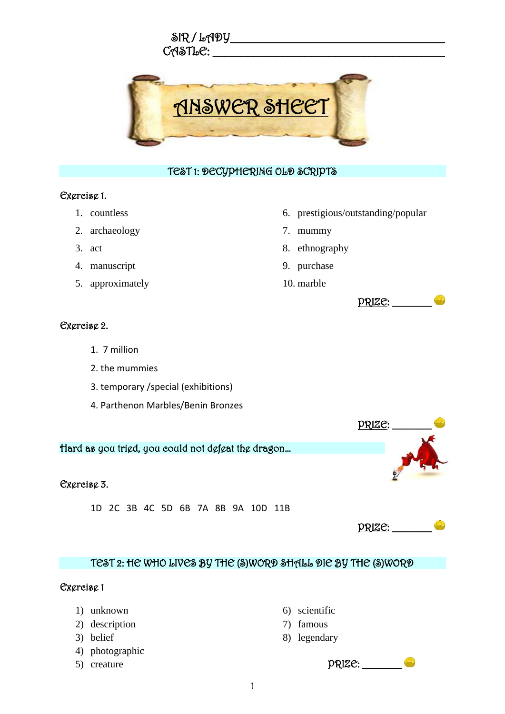



#### TEST 1: DECYPHERING OLD SCRIPTS

#### Exercise 1.

- 1. countless
- 2. archaeology
- 3. act
- 4. manuscript
- 5. approximately
- 6. prestigious/outstanding/popular
- 7. mummy
- 8. ethnography
- 9. purchase
- 10. marble



### Exercise 2.

- 1. 7 million
- 2. the mummies
- 3. temporary /special (exhibitions)
- 4. Parthenon Marbles/Benin Bronzes



1D 2C 3B 4C 5D 6B 7A 8B 9A 10D 11B

# PRIZE: \_\_\_\_\_\_\_\_

 $PRIZE:$ 

## TEST 2: HE WHO LIVES BY THE (S)WORD SHALL DIE BY THE (S)WORD

#### Exercise 1

- 1) unknown
- 2) description
- 3) belief
- 4) photographic
- 5) creature
- 6) scientific
- 7) famous
- 8) legendary
- 1